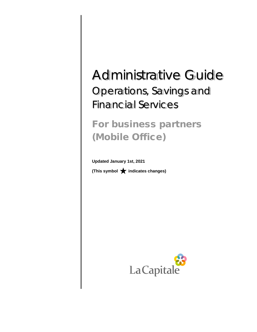# Administrative Guide Operations, Savings and Financial Services

# For business partners (Mobile Office)

**Updated January 1st, 2021** (This symbol  $\bigstar$  indicates changes)

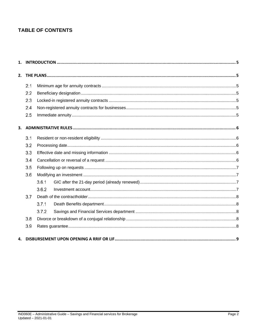# **TABLE OF CONTENTS**

|  | 2.1 |       |  |  |  |  |
|--|-----|-------|--|--|--|--|
|  | 2.2 |       |  |  |  |  |
|  | 2.3 |       |  |  |  |  |
|  | 2.4 |       |  |  |  |  |
|  | 2.5 |       |  |  |  |  |
|  |     |       |  |  |  |  |
|  | 3.1 |       |  |  |  |  |
|  | 3.2 |       |  |  |  |  |
|  | 3.3 |       |  |  |  |  |
|  | 3.4 |       |  |  |  |  |
|  | 3.5 |       |  |  |  |  |
|  | 3.6 |       |  |  |  |  |
|  |     | 3.6.1 |  |  |  |  |
|  |     | 3.6.2 |  |  |  |  |
|  | 3.7 |       |  |  |  |  |
|  |     | 3.7.1 |  |  |  |  |
|  |     | 3.7.2 |  |  |  |  |
|  | 3.8 |       |  |  |  |  |
|  | 3.9 |       |  |  |  |  |
|  |     |       |  |  |  |  |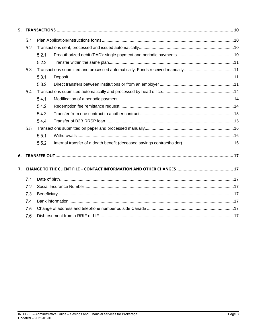| 5.  |     |       |  |  |  |  |  |
|-----|-----|-------|--|--|--|--|--|
|     | 5.1 |       |  |  |  |  |  |
|     | 5.2 | 5.2.1 |  |  |  |  |  |
|     |     |       |  |  |  |  |  |
|     |     |       |  |  |  |  |  |
|     | 5.3 |       |  |  |  |  |  |
|     |     | 5.3.1 |  |  |  |  |  |
|     |     | 5.3.2 |  |  |  |  |  |
|     | 5.4 |       |  |  |  |  |  |
|     |     | 5.4.1 |  |  |  |  |  |
|     |     | 5.4.2 |  |  |  |  |  |
|     |     | 5.4.3 |  |  |  |  |  |
|     |     | 5.4.4 |  |  |  |  |  |
|     | 5.5 |       |  |  |  |  |  |
|     |     | 5.5.1 |  |  |  |  |  |
|     |     | 5.5.2 |  |  |  |  |  |
| 6.  |     |       |  |  |  |  |  |
| 7.  |     |       |  |  |  |  |  |
|     | 7.1 |       |  |  |  |  |  |
| 7.2 |     |       |  |  |  |  |  |
|     | 7.3 |       |  |  |  |  |  |
|     | 7.4 |       |  |  |  |  |  |
|     | 7.5 |       |  |  |  |  |  |
|     | 7.6 |       |  |  |  |  |  |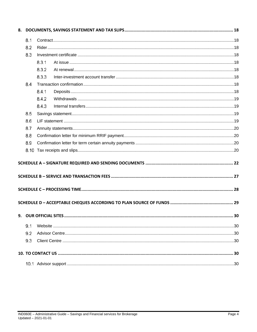|      | 8.1   |       |  |  |  |  |  |
|------|-------|-------|--|--|--|--|--|
|      | 8.2   |       |  |  |  |  |  |
|      | 8.3   |       |  |  |  |  |  |
|      |       | 8.3.1 |  |  |  |  |  |
|      | 8.3.2 |       |  |  |  |  |  |
|      |       | 8.3.3 |  |  |  |  |  |
|      | 8.4   |       |  |  |  |  |  |
|      |       | 8.4.1 |  |  |  |  |  |
|      |       | 8.4.2 |  |  |  |  |  |
|      |       | 8.4.3 |  |  |  |  |  |
|      | 8.5   |       |  |  |  |  |  |
|      | 8.6   |       |  |  |  |  |  |
|      | 8.7   |       |  |  |  |  |  |
|      | 8.8   |       |  |  |  |  |  |
|      | 8.9   |       |  |  |  |  |  |
| 8.10 |       |       |  |  |  |  |  |
|      |       |       |  |  |  |  |  |
|      |       |       |  |  |  |  |  |
|      |       |       |  |  |  |  |  |
|      |       |       |  |  |  |  |  |
|      |       |       |  |  |  |  |  |
|      |       |       |  |  |  |  |  |
|      |       |       |  |  |  |  |  |
|      | 9.1   |       |  |  |  |  |  |
|      | 9.2   |       |  |  |  |  |  |
|      | 9.3   |       |  |  |  |  |  |
|      |       |       |  |  |  |  |  |
|      |       |       |  |  |  |  |  |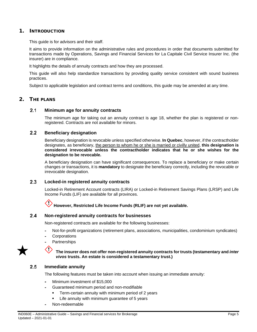# <span id="page-4-0"></span>1. INTRODUCTION

This guide is for advisors and their staff.

It aims to provide information on the administrative rules and procedures in order that documents submitted for transactions made by Operations, Savings and Financial Services for La Capitale Civil Service Insurer Inc. (the insurer) are in compliance.

It highlights the details of annuity contracts and how they are processed.

This guide will also help standardize transactions by providing quality service consistent with sound business practices.

Subject to applicable legislation and contract terms and conditions, this guide may be amended at any time.

# <span id="page-4-2"></span><span id="page-4-1"></span>2. THE PLANS

#### $2.1$ **Minimum age for annuity contracts**

The minimum age for taking out an annuity contract is age 18, whether the plan is registered or nonregistered. Contracts are not available for minors.

#### <span id="page-4-3"></span> $2.2$ **Beneficiary designation**

Beneficiary designation is revocable unless specified otherwise. **In Quebec**, however, if the contractholder designates, as beneficiary, the person to whom he or she is married or civilly united, **this designation is considered irrevocable unless the contractholder indicates that he or she wishes for the designation to be revocable.**

A beneficiary designation can have significant consequences. To replace a beneficiary or make certain changes or transactions, it is **mandatory** to designate the beneficiary correctly, including the revocable or irrevocable designation.

#### <span id="page-4-4"></span> $2.3$ **Locked-in registered annuity contracts**

Locked-in Retirement Account contracts (LIRA) or Locked-in Retirement Savings Plans (LRSP) and Life Income Funds (LIF) are available for all provinces.

# **However, Restricted Life Income Funds (RLIF) are not yet available.**

#### <span id="page-4-5"></span> $2.4$ **Non-registered annuity contracts for businesses**

Non-registered contracts are available for the following businesses:

- Not-for-profit organizations (retirement plans, associations, municipalities, condominium syndicates)
- **Corporations** L.
- **Partnerships**



# **The insurer does not offer non-registered annuity contracts for trusts (testamentary and** *inter vivos* **trusts. An estate is considered a testamentary trust.)**

#### <span id="page-4-6"></span> $2.5$ **Immediate annuity**

KI)

The following features must be taken into account when issuing an immediate annuity:

- Minimum investment of \$15,000
- Guaranteed minimum period and non-modifiable
	- Term-certain annuity with minimum period of 2 years
	- Life annuity with minimum guarantee of 5 years
- Non-redeemable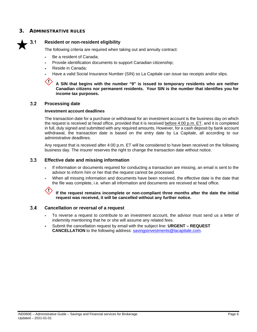# <span id="page-5-0"></span>3. ADMINISTRATIVE RUI ES

<span id="page-5-1"></span>

# **Resident or non-resident eligibility**

The following criteria are required when taking out and annuity contract:

- $\overline{a}$ Be a resident of Canada;
- Provide identification documents to support Canadian citizenship;
- Reside in Canada;
- Have a valid Social Insurance Number (SIN) so La Capitale can issue tax receipts and/or slips.

**A SIN that begins with the number "9" is issued to temporary residents who are neither Canadian citizens nor permanent residents. Your SIN is the number that identifies you for income tax purposes.**

#### <span id="page-5-2"></span> $3.2$ **Processing date**

# **Investment account deadlines**

The transaction date for a purchase or withdrawal for an investment account is the business day on which the request is received at head office, provided that it is received before 4:00 p.m. ET, and it is completed in full, duly signed and submitted with any required amounts. However, for a cash deposit by bank account withdrawal, the transaction date is based on the entry date by La Capitale, all according to our administrative deadlines.

Any request that is received after 4:00 p.m. ET will be considered to have been received on the following business day. The insurer reserves the right to change the transaction date without notice.

#### <span id="page-5-3"></span> $3.3$ **Effective date and missing information**

- If information or documents required for conducting a transaction are missing, an email is sent to the advisor to inform him or her that the request cannot be processed.
- When all missing information and documents have been received, the effective date is the date that the file was complete, i.e. when all information and documents are received at head office.



**If the request remains incomplete or non-compliant three months after the date the initial request was received, it will be cancelled without any further notice.**

#### <span id="page-5-4"></span> $3.4$ **Cancellation or reversal of a request**

- To reverse a request to contribute to an investment account, the advisor must send us a letter of indemnity mentioning that he or she will assume any related fees.
- Submit the cancellation request by email with the subject line: **URGENT – REQUEST CANCELLATION** to the following address: [savingsinvestments@lacapitale.com.](mailto:savingsinvestments@lacapitale.com)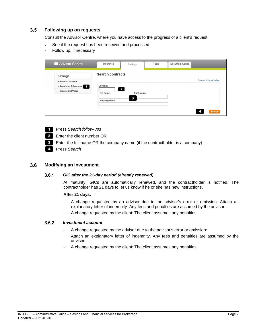#### <span id="page-6-0"></span> $3.5$ **Following up on requests**

Consult the Advisor Centre, where you have access to the progress of a client's request:

- See if the request has been received and processed ÷.
- Follow up, if necessary

| Advisor Centre          | Insurance                        | Savings           | Tools | <b>Document Centre</b> |                        |
|-------------------------|----------------------------------|-------------------|-------|------------------------|------------------------|
| <b>Savings</b>          | <b>Search contracts</b>          |                   |       |                        |                        |
| > Search contracts      |                                  |                   |       |                        | See our interest rates |
| > Search for follow-ups | <b>Client No</b>                 |                   |       |                        |                        |
| > Search Unit Value     | $\mathbf{2}$<br><b>Last Name</b> | <b>First Name</b> |       |                        |                        |
|                         | <b>Company Name</b>              | з                 |       |                        |                        |
|                         |                                  |                   |       |                        | <b>Search</b>          |

- **Press Search follow-ups**
- **2** Enter the client number OR
- Enter the full name OR the company name (if the contractholder is a company)
- **Press Search**

#### <span id="page-6-2"></span><span id="page-6-1"></span> $3.6$ **Modifying an investment**

#### $3.6.1$ *GIC after the 21-day period (already renewed)*

At maturity, GICs are automatically renewed, and the contractholder is notified. The contractholder has 21 days to let us know if he or she has new instructions.

# **After 21 days:**

- A change requested by an advisor due to the advisor's error or omission: Attach an explanatory letter of indemnity. Any fees and penalties are assumed by the advisor.
- A change requested by the client: The client assumes any penalties.

#### <span id="page-6-3"></span> $3.6.2$ *Investment account*

- A change requested by the advisor due to the advisor's error or omission: Attach an explanatory letter of indemnity. Any fees and penalties are assumed by the advisor.
- A change requested by the client: The client assumes any penalties.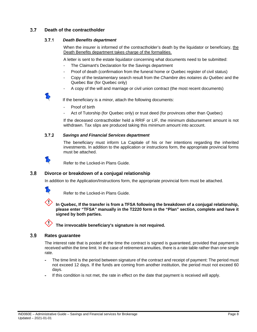#### <span id="page-7-1"></span><span id="page-7-0"></span> $3.7$ **Death of the contractholder**

#### $3.7.1$ *Death Benefits department*

When the insurer is informed of the contractholder's death by the liquidator or beneficiary, the Death Benefits department takes charge of the formalities.

A letter is sent to the estate liquidator concerning what documents need to be submitted:

- The Claimant's Declaration for the Savings department
- Proof of death (confirmation from the funeral home or Quebec register of civil status)
- Copy of the testamentary search result from the *Chambre des notaires du Québec* and the Quebec Bar (for Quebec only)
- A copy of the will and marriage or civil union contract (the most recent documents)

If the beneficiary is a minor, attach the following documents:

- Proof of birth
- Act of Tutorship (for Quebec only) or trust deed (for provinces other than Quebec)

If the deceased contractholder held a RRIF or LIF, the minimum disbursement amount is not withdrawn. Tax slips are produced taking this minimum amount into account.

#### <span id="page-7-2"></span> $3.7.2$ *Savings and Financial Services department*

The beneficiary must inform La Capitale of his or her intentions regarding the inherited investments. In addition to the application or instructions form, the appropriate provincial forms must be attached.



Refer to the Locked-in Plans Guide.

#### <span id="page-7-3"></span> $3.8$ **Divorce or breakdown of a conjugal relationship**

In addition to the Application/Instructions form, the appropriate provincial form must be attached.



Refer to the Locked-in Plans Guide.

**In Quebec, If the transfer is from a TFSA following the breakdown of a conjugal relationship, please enter "TFSA" manually in the T2220 form in the "Plan" section, complete and have it signed by both parties.**

**The irrevocable beneficiary's signature is not required.**

#### <span id="page-7-4"></span> $3.9$ **Rates guarantee**

The interest rate that is posted at the time the contract is signed is guaranteed, provided that payment is received within the time limit. In the case of retirement annuities, there is a rate table rather than one single rate.

- The time limit is the period between signature of the contract and receipt of payment: The period must not exceed 12 days. If the funds are coming from another institution, the period must not exceed 60 days.
- If this condition is not met, the rate in effect on the date that payment is received will apply.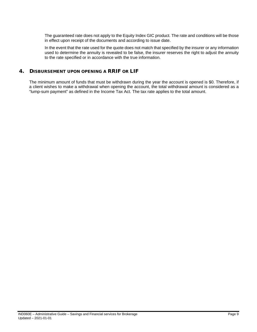The guaranteed rate does not apply to the Equity Index GIC product. The rate and conditions will be those in effect upon receipt of the documents and according to issue date.

In the event that the rate used for the quote does not match that specified by the insurer or any information used to determine the annuity is revealed to be false, the insurer reserves the right to adjust the annuity to the rate specified or in accordance with the true information.

# <span id="page-8-0"></span>4. DISBURSEMENT UPON OPENING A RRIF OR LIF

The minimum amount of funds that must be withdrawn during the year the account is opened is \$0. Therefore, if a client wishes to make a withdrawal when opening the account, the total withdrawal amount is considered as a "lump-sum payment" as defined in the Income Tax Act. The tax rate applies to the total amount.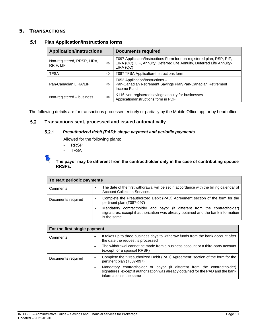# <span id="page-9-1"></span><span id="page-9-0"></span>5. TRANSACTIONS

#### $5.1$ **Plan Application/Instructions forms**

| <b>Application/Instructions</b>          |   | <b>Documents required</b>                                                                                                                                    |
|------------------------------------------|---|--------------------------------------------------------------------------------------------------------------------------------------------------------------|
| Non-registered, RRSP, LIRA,<br>RRIF, LIF | ⇨ | T097 Application/Instructions Form for non-registered plan, RSP, RIF,<br>LIRA (QC), LIF, Annuity, Deferred Life Annuity, Deferred Life Annuity-<br>LIRA (QC) |
| <b>TFSA</b>                              | ⇨ | T087 TFSA Application-Instructions form                                                                                                                      |
| Pan-Canadian LIRA/LIF                    | ⇨ | T053 Application/Instructions -<br>Pan-Canadian Retirement Savings Plan/Pan-Canadian Retirement<br>Income Fund                                               |
| Non-registered - business                | ⇨ | K116 Non-registered savings annuity for businesses<br>Application/Instructions form in PDF                                                                   |

The following details are for transactions processed entirely or partially by the Mobile Office app or by head office.

#### <span id="page-9-3"></span><span id="page-9-2"></span> $5.2$ **Transactions sent, processed and issued automatically**

#### $5.2.1$ *Preauthorized debit (PAD): single payment and periodic payments*

Allowed for the following plans:

- RRSP
- TFSA

# **The payor may be different from the contractholder only in the case of contributing spouse RRSPs.**

| To start periodic payments |                                                                                                                                                                               |  |  |  |  |
|----------------------------|-------------------------------------------------------------------------------------------------------------------------------------------------------------------------------|--|--|--|--|
| Comments                   | The date of the first withdrawal will be set in accordance with the billing calendar of<br><b>Account Collection Services.</b>                                                |  |  |  |  |
| Documents required         | Complete the Preauthorized Debit (PAD) Agreement section of the form for the<br>pertinent plan (T087-097)                                                                     |  |  |  |  |
|                            | Mandatory contractholder and payor (if different from the contractholder)<br>signatures, except if authorization was already obtained and the bank information<br>is the same |  |  |  |  |

| For the first single payment |                                                                                                                                                                                          |  |  |  |  |
|------------------------------|------------------------------------------------------------------------------------------------------------------------------------------------------------------------------------------|--|--|--|--|
| Comments                     | It takes up to three business days to withdraw funds from the bank account after<br>۰<br>the date the request is processed                                                               |  |  |  |  |
|                              | The withdrawal cannot be made from a business account or a third-party account<br>(except for a spousal RRSP)                                                                            |  |  |  |  |
| Documents required           | Complete the "Preauthorized Debit (PAD) Agreement" section of the form for the<br>pertinent plan (T087-097)                                                                              |  |  |  |  |
|                              | Mandatory contractholder or payor (if different from the contractholder)<br>signatures, except if authorization was already obtained for the PAD and the bank<br>information is the same |  |  |  |  |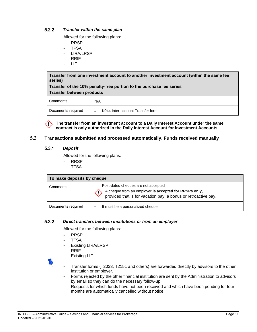#### <span id="page-10-0"></span> $5.2.2$ *Transfer within the same plan*

Allowed for the following plans:

- RRSP
- TFSA
- LIRA/LRSP
- RRIF
- LIF

**Transfer from one investment account to another investment account (within the same fee series)**

**Transfer of the 10% penalty-free portion to the purchase fee series Transfer between products**

| --------------------- |                                       |  |  |  |  |
|-----------------------|---------------------------------------|--|--|--|--|
| Comments              | N/A                                   |  |  |  |  |
| Documents required    | K044 Inter-account Transfer form<br>- |  |  |  |  |

**The transfer from an investment account to a Daily Interest Account under the same contract is only authorized in the Daily Interest Account for Investment Accounts.**

#### <span id="page-10-2"></span><span id="page-10-1"></span> $5.3$ **Transactions submitted and processed automatically. Funds received manually**

#### $5.3.1$ *Deposit*

Allowed for the following plans:

- RRSP
- TFSA

| To make deposits by cheque |                                                                                                                                                                |  |  |  |  |
|----------------------------|----------------------------------------------------------------------------------------------------------------------------------------------------------------|--|--|--|--|
| Comments                   | Post-dated cheques are not accepted<br>A cheque from an employer is accepted for RRSPs only,<br>provided that is for vacation pay, a bonus or retroactive pay. |  |  |  |  |
| Documents required         | It must be a personalized cheque<br>۰                                                                                                                          |  |  |  |  |

#### <span id="page-10-3"></span> $5.3.2$ *Direct transfers between institutions or from an employer*

Allowed for the following plans:

- RRSP
- TFSA
- Existing LIRA/LRSP
- RRIF
- Existing LIF
- 
- Transfer forms (T2033, T2151 and others) are forwarded directly by advisors to the other institution or employer.
- Forms rejected by the other financial institution are sent by the Administration to advisors by email so they can do the necessary follow-up.
- Requests for which funds have not been received and which have been pending for four months are automatically cancelled without notice.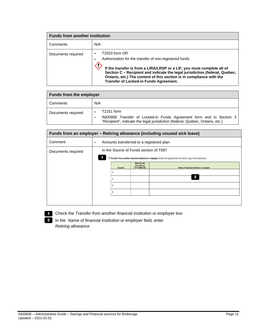| <b>Funds from another institution</b> |                                                                                                                                                                                                                                                                                                                                                    |  |  |  |  |
|---------------------------------------|----------------------------------------------------------------------------------------------------------------------------------------------------------------------------------------------------------------------------------------------------------------------------------------------------------------------------------------------------|--|--|--|--|
| Comments                              | N/A                                                                                                                                                                                                                                                                                                                                                |  |  |  |  |
| Documents required                    | T2033 form OR<br>Authorization for the transfer of non-registered funds<br>If the transfer is from a LIRA/LRSP or a LIF, you must complete all of<br>Section C - Recipient and indicate the legal jurisdiction (federal, Quebec,<br>Ontario, etc.) The content of this section is in compliance with the<br>Transfer of Locked-in Funds Agreement. |  |  |  |  |

| <b>Funds from the employer</b> |                                                                                                                                                                    |  |  |  |  |
|--------------------------------|--------------------------------------------------------------------------------------------------------------------------------------------------------------------|--|--|--|--|
| Comments                       | N/A                                                                                                                                                                |  |  |  |  |
| Documents required             | T2151 form<br>IND090E Transfer of Locked-in Funds Agreement form and in Section 3<br>"Recipient", indicate the legal jurisdiction (federal, Quebec, Ontario, etc.) |  |  |  |  |

| Funds from an employer - Retiring allowance (including unused sick leave) |                                                                                                                                                                     |        |                                                |                                           |  |  |  |
|---------------------------------------------------------------------------|---------------------------------------------------------------------------------------------------------------------------------------------------------------------|--------|------------------------------------------------|-------------------------------------------|--|--|--|
| Comment                                                                   | Amounts transferred to a registered plan<br>٠                                                                                                                       |        |                                                |                                           |  |  |  |
| Documents required                                                        | In the Source of Funds section of T097<br>$\Box$ Transfer from another financial institution or employer (Attach the appropriate form with a copy of the statement) |        |                                                |                                           |  |  |  |
|                                                                           |                                                                                                                                                                     | Amount | Maturity date<br>of investment<br>(YYYY/MM/DD) | Name of financial institution or employer |  |  |  |
|                                                                           |                                                                                                                                                                     |        |                                                |                                           |  |  |  |
|                                                                           |                                                                                                                                                                     |        |                                                |                                           |  |  |  |
|                                                                           |                                                                                                                                                                     |        |                                                |                                           |  |  |  |
|                                                                           |                                                                                                                                                                     |        |                                                |                                           |  |  |  |

Check the *Transfer from another financial institution or employer* box

In the *Name of financial institution or employer* field*,* enter *Retiring allowance*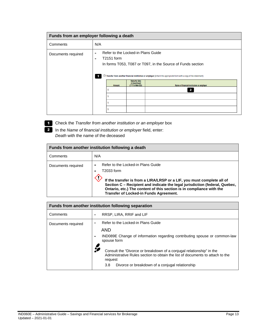| Funds from an employer following a death |         |                                                                                                                                                                                                                                         |                                                       |                                           |  |
|------------------------------------------|---------|-----------------------------------------------------------------------------------------------------------------------------------------------------------------------------------------------------------------------------------------|-------------------------------------------------------|-------------------------------------------|--|
| Comments                                 | N/A     |                                                                                                                                                                                                                                         |                                                       |                                           |  |
| Documents required                       | ۰<br>×. | Refer to the Locked-in Plans Guide<br>T2151 form<br>In forms T053, T087 or T097, in the Source of Funds section<br>□ Transfer from another financial institution or employer (Attach the appropriate form with a copy of the statement) |                                                       |                                           |  |
|                                          |         | <b>Amount</b>                                                                                                                                                                                                                           | <b>Maturity date</b><br>of Investment<br>(YYYY/MM/DD) | Name of financial institution or employer |  |

Check the *Transfer from another institution or an employer* box

In the *Name of financial institution or employer* field, enter: *Death* with the name of the deceased

| Funds from another institution following a death |                                                                                                                                                                                                                                                                                                                             |  |  |
|--------------------------------------------------|-----------------------------------------------------------------------------------------------------------------------------------------------------------------------------------------------------------------------------------------------------------------------------------------------------------------------------|--|--|
| Comments                                         | N/A                                                                                                                                                                                                                                                                                                                         |  |  |
| Documents required                               | Refer to the Locked-in Plans Guide<br>T2033 form<br>If the transfer is from a LIRA/LRSP or a LIF, you must complete all of<br>Section C - Recipient and indicate the legal jurisdiction (federal, Quebec,<br>Ontario, etc.) The content of this section is in compliance with the<br>Transfer of Locked-in Funds Agreement. |  |  |

| Funds from another institution following separation |                                                                                                                                                                                                                            |  |  |  |
|-----------------------------------------------------|----------------------------------------------------------------------------------------------------------------------------------------------------------------------------------------------------------------------------|--|--|--|
| Comments                                            | RRSP, LIRA, RRIF and LIF<br>×.                                                                                                                                                                                             |  |  |  |
| Documents required                                  | Refer to the Locked-in Plans Guide<br>۰                                                                                                                                                                                    |  |  |  |
|                                                     | AND<br>IND089E Change of information regarding contributing spouse or common-law<br>spouse form                                                                                                                            |  |  |  |
|                                                     | Consult the "Divorce or breakdown of a conjugal relationship" in the<br>Administrative Rules section to obtain the list of documents to attach to the<br>request<br>Divorce or breakdown of a conjugal relationship<br>3.8 |  |  |  |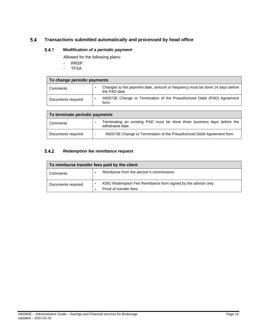#### <span id="page-13-1"></span><span id="page-13-0"></span> $5.4$ **Transactions submitted automatically and processed by head office**

#### $5.4.1$ *Modification of a periodic payment*

Allowed for the following plans:

- RRSP<br>- TFSA
- **TFSA**

| To change periodic payments |                                                                                              |  |  |
|-----------------------------|----------------------------------------------------------------------------------------------|--|--|
| Comments                    | Changes to the payment date, amount or frequency must be done 14 days before<br>the PAD date |  |  |
| Documents required          | IND073E Change or Termination of the Preauthorized Debit (PAD) Agreement<br>form             |  |  |

| To terminate periodic payments |                                                                                                     |  |  |
|--------------------------------|-----------------------------------------------------------------------------------------------------|--|--|
| Comments                       | Terminating an existing PAD must be done three business days before the<br>withdrawal date.         |  |  |
| Documents required             | IND073E Change or Termination of the Preauthorized Debit Agreement form<br>$\overline{\phantom{0}}$ |  |  |

#### <span id="page-13-2"></span> $5.4.2$ *Redemption fee remittance request*

| To reimburse transfer fees paid by the client |                                                                                          |  |
|-----------------------------------------------|------------------------------------------------------------------------------------------|--|
| Comments                                      | Reimburse from the advisor's commissions                                                 |  |
| Documents required                            | K091 Redemption Fee Remittance form signed by the advisor only<br>Proof of transfer fees |  |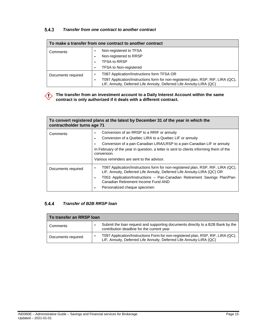#### <span id="page-14-0"></span> $5.4.3$ *Transfer from one contract to another contract*

| To make a transfer from one contract to another contract |                                                                                                                                                                                                        |  |  |
|----------------------------------------------------------|--------------------------------------------------------------------------------------------------------------------------------------------------------------------------------------------------------|--|--|
| Comments                                                 | Non-registered to TFSA<br>Non-registered to RRSP                                                                                                                                                       |  |  |
|                                                          | <b>TFSA to RRSP</b><br><b>TFSA to Non-registered</b>                                                                                                                                                   |  |  |
| Documents required                                       | T087 Application/Instructions form TFSA OR<br>T097 Application/Instructions form for non-registered plan, RSP, RIF, LIRA (QC),<br>LIF, Annuity, Deferred Life Annuity, Deferred Life Annuity-LIRA (QC) |  |  |

# **The transfer from an investment account to a Daily Interest Account within the same contract is only authorized if it deals with a different contract.**

| To convert registered plans at the latest by December 31 of the year in which the<br>contractholder turns age 71 |                                                                                                                                                                                                                                                                                                                                        |  |  |
|------------------------------------------------------------------------------------------------------------------|----------------------------------------------------------------------------------------------------------------------------------------------------------------------------------------------------------------------------------------------------------------------------------------------------------------------------------------|--|--|
| Comments                                                                                                         | Conversion of an RRSP to a RRIF or annuity<br>Conversion of a Quebec LIRA to a Quebec LIF or annuity<br>Conversion of a pan-Canadian LIRA/LRSP to a pan-Canadian LIF or annuity<br>In February of the year in question, a letter is sent to clients informing them of the<br>conversion.<br>Various reminders are sent to the advisor. |  |  |
| Documents required                                                                                               | T097 Application/Instructions form for non-registered plan, RSP, RIF, LIRA (QC),<br>LIF, Annuity, Deferred Life Annuity, Deferred Life Annuity-LIRA (QC) OR<br>T053 Application/Instructions - Pan-Canadian Retirement Savings Plan/Pan-<br>Canadian Retirement Income Fund AND<br>Personalized cheque specimen                        |  |  |

#### <span id="page-14-1"></span> $5.4.4$ *Transfer of B2B RRSP loan*

| To transfer an RRSP loan |                                                                                                                                                          |  |
|--------------------------|----------------------------------------------------------------------------------------------------------------------------------------------------------|--|
| Comments                 | Submit the loan request and supporting documents directly to a B2B Bank by the<br>contribution deadline for the current year                             |  |
| Documents required       | T097 Application/Instructions Form for non-registered plan, RSP, RIF, LIRA (QC),<br>LIF, Annuity, Deferred Life Annuity, Deferred Life Annuity-LIRA (QC) |  |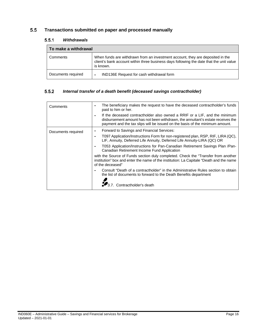#### <span id="page-15-1"></span><span id="page-15-0"></span>**Transactions submitted on paper and processed manually**  $5.5$

#### $5.5.1$ *Withdrawals*

| To make a withdrawal |                                                                                                                                                                                        |  |  |
|----------------------|----------------------------------------------------------------------------------------------------------------------------------------------------------------------------------------|--|--|
| Comments             | When funds are withdrawn from an investment account, they are deposited in the<br>client's bank account within three business days following the date that the unit value<br>is known. |  |  |
| Documents required   | IND136E Request for cash withdrawal form                                                                                                                                               |  |  |

#### <span id="page-15-2"></span> $5.5.2$ *Internal transfer of a death benefit (deceased savings contractholder)*

| Comments           | The beneficiary makes the request to have the deceased contractholder's funds<br>paid to him or her.                                                                                                                                          |  |  |
|--------------------|-----------------------------------------------------------------------------------------------------------------------------------------------------------------------------------------------------------------------------------------------|--|--|
|                    | If the deceased contractholder also owned a RRIF or a LIF, and the minimum<br>disbursement amount has not been withdrawn, the annuitant's estate receives the<br>payment and the tax slips will be issued on the basis of the minimum amount. |  |  |
| Documents required | Forward to Savings and Financial Services:                                                                                                                                                                                                    |  |  |
|                    | T097 Application/Instructions Form for non-registered plan, RSP, RIF, LIRA (QC),<br>LIF, Annuity, Deferred Life Annuity, Deferred Life Annuity-LIRA (QC) OR                                                                                   |  |  |
|                    | T053 Application/Instructions for Pan-Canadian Retirement Savings Plan /Pan-<br>Canadian Retirement Income Fund Application                                                                                                                   |  |  |
|                    | with the Source of Funds section duly completed. Check the "Transfer from another<br>institution" box and enter the name of the institution: La Capitale "Death and the name<br>of the deceased"                                              |  |  |
|                    | Consult "Death of a contractholder" in the Administrative Rules section to obtain<br>the list of documents to forward to the Death Benefits department                                                                                        |  |  |
|                    | Contractholder's death                                                                                                                                                                                                                        |  |  |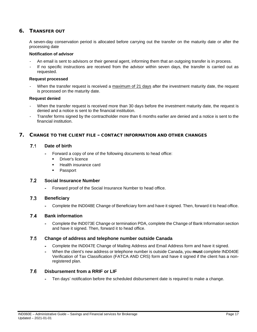# <span id="page-16-0"></span>6. TRANSFER OUT

A seven-day conservation period is allocated before carrying out the transfer on the maturity date or after the processing date

# **Notification of advisor**

- An email is sent to advisors or their general agent, informing them that an outgoing transfer is in process.
- If no specific instructions are received from the advisor within seven days, the transfer is carried out as requested.

# **Request processed**

When the transfer request is received a maximum of 21 days after the investment maturity date, the request is processed on the maturity date.

# **Request denied**

- When the transfer request is received more than 30 days before the investment maturity date, the request is denied and a notice is sent to the financial institution.
- Transfer forms signed by the contractholder more than 6 months earlier are denied and a notice is sent to the financial institution.

# <span id="page-16-2"></span><span id="page-16-1"></span>7. CHANGE TO THE CLIENT FILE – CONTACT INFORMATION AND OTHER CHANGES

#### $7.1$ **Date of birth**

- Forward a copy of one of the following documents to head office:  $\sim$ 
	- **Driver's licence**
	- **Health insurance card**
	- **Passport**

#### <span id="page-16-3"></span> $7.2$ **Social Insurance Number**

Forward proof of the Social Insurance Number to head office.  $\bar{\phantom{a}}$ 

#### <span id="page-16-4"></span> $7.3$ **Beneficiary**

 $\mathcal{L}$ Complete the IND048E Change of Beneficiary form and have it signed. Then, forward it to head office.

#### <span id="page-16-5"></span> $7.4$ **Bank information**

Complete the IND073E Change or termination PDA, complete the Change of Bank Information section  $\bar{a}$ and have it signed. Then, forward it to head office.

#### <span id="page-16-6"></span> $7.5$ **Change of address and telephone number outside Canada**

- Complete the IND047E Change of Mailing Address and Email Address form and have it signed.
- When the client's new address or telephone number is outside Canada, you **must** complete IND040E Verification of Tax Classification (FATCA AND CRS) form and have it signed if the client has a nonregistered plan.

#### <span id="page-16-7"></span> $7.6$ **Disbursement from a RRIF or LIF**

Ten days' notification before the scheduled disbursement date is required to make a change.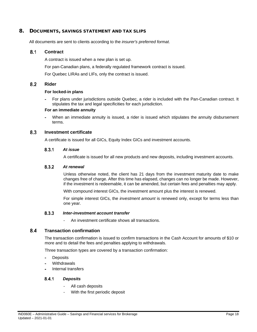# <span id="page-17-0"></span>8. DOCUMENTS, SAVINGS STATEMENT AND TAX SLIPS

All documents are sent to clients according to the *insurer's preferred format*.

#### <span id="page-17-1"></span> $8.1$ **Contract**

A contract is issued when a new plan is set up.

For pan-Canadian plans, a federally regulated framework contract is issued.

For Quebec LIRAs and LIFs, only the contract is issued.

#### <span id="page-17-2"></span> $8.2$ **Rider**

# **For locked-in plans**

For plans under jurisdictions outside Quebec, a rider is included with the Pan-Canadian contract. It stipulates the tax and legal specificities for each jurisdiction.

# **For an immediate annuity**

When an immediate annuity is issued, a rider is issued which stipulates the annuity disbursement terms.

#### <span id="page-17-4"></span><span id="page-17-3"></span>8.3 **Investment certificate**

A certificate is issued for all GICs, Equity Index GICs and investment accounts.

#### $8.3.1$ *At issue*

A certificate is issued for all new products and new deposits, including investment accounts.

#### <span id="page-17-5"></span> $8.3.2$ *At renewal*

Unless otherwise noted, the client has 21 days from the investment maturity date to make changes free of charge. After this time has elapsed, changes can no longer be made. However, if the investment is redeemable, it can be amended, but certain fees and penalties may apply.

With compound interest GICs, the investment amount plus the interest is renewed.

For simple interest GICs, the *investment amount* is renewed only, except for terms less than one year.

#### 8.3.3 *Inter-investment account transfer*

An investment certificate shows all transactions.

#### <span id="page-17-7"></span><span id="page-17-6"></span> $8.4$ **Transaction confirmation**

The transaction confirmation is issued to confirm transactions in the Cash Account for amounts of \$10 or more and to detail the fees and penalties applying to withdrawals.

Three transaction types are covered by a transaction confirmation:

- **Deposits**
- **Withdrawals**
- Internal transfers

#### <span id="page-17-8"></span> $8.4.1$ *Deposits*

- All cash deposits
- With the first periodic deposit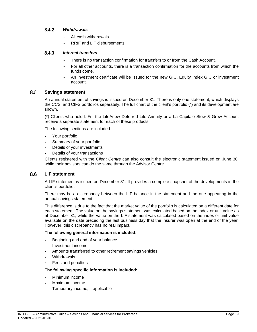#### <span id="page-18-0"></span> $8.4.2$ *Withdrawals*

- All cash withdrawals
- RRIF and LIF disbursements

#### <span id="page-18-1"></span> $8.4.3$ *Internal transfers*

- There is no transaction confirmation for transfers to or from the Cash Account.
- For all other accounts, there is a transaction confirmation for the accounts from which the funds come.
- An investment certificate will be issued for the new GIC, Equity Index GIC or investment account.

#### <span id="page-18-2"></span> $8.5$ **Savings statement**

An annual statement of savings is issued on December 31. There is only one statement, which displays the CCSI and CIFS portfolios separately. The full chart of the client's portfolio (\*) and its development are shown.

(\*) Clients who hold LIFs, the LifeAnew Deferred Life Annuity or a La Capitale Stow & Grow Account receive a separate statement for each of these products.

The following sections are included:

- Your portfolio
- Summary of your portfolio
- Details of your investments
- Details of your transactions

Clients registered with the *Client Centre* can also consult the electronic statement issued on June 30, while their advisors can do the same through the Advisor Centre.

#### <span id="page-18-3"></span> $8.6$ **LIF statement**

A LIF statement is issued on December 31. It provides a complete snapshot of the developments in the client's portfolio.

There may be a discrepancy between the LIF balance in the statement and the one appearing in the annual savings statement.

This difference is due to the fact that the market value of the portfolio is calculated on a different date for each statement. The value on the savings statement was calculated based on the index or unit value as at December 31, while the value on the LIF statement was calculated based on the index or unit value available on the date preceding the last business day that the insurer was open at the end of the year. However, this discrepancy has no real impact.

# **The following general information is included:**

- Beginning and end of year balance à.
- Investment income
- Amounts transferred to other retirement savings vehicles
- **Withdrawals**
- Fees and penalties

# **The following specific information is included:**

- Minimum income
- Maximum income
- Temporary income, if applicable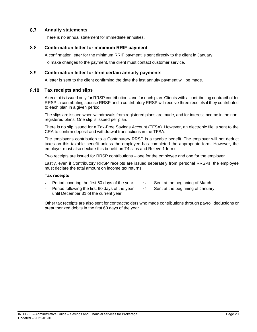#### <span id="page-19-0"></span>8.7 **Annuity statements**

There is no annual statement for immediate annuities.

#### <span id="page-19-1"></span>8.8 **Confirmation letter for minimum RRIF payment**

A confirmation letter for the minimum RRIF payment is sent directly to the client in January.

To make changes to the payment, the client must contact customer service.

#### <span id="page-19-2"></span>8.9 **Confirmation letter for term certain annuity payments**

A letter is sent to the client confirming the date the last annuity payment will be made.

#### <span id="page-19-3"></span> $8.10$ **Tax receipts and slips**

A receipt is issued only for RRSP contributions and for each plan. Clients with a contributing contractholder RRSP, a contributing spouse RRSP and a contributory RRSP will receive three receipts if they contributed to each plan in a given period.

The slips are issued when withdrawals from registered plans are made, and for interest income in the nonregistered plans. One slip is issued per plan.

There is no slip issued for a Tax-Free Savings Account (TFSA). However, an electronic file is sent to the CRA to confirm deposit and withdrawal transactions in the TFSA.

The employer's contribution to a Contributory RRSP is a taxable benefit. The employer will not deduct taxes on this taxable benefit unless the employee has completed the appropriate form. However, the employer must also declare this benefit on T4 slips and Relevé 1 forms.

Two receipts are issued for RRSP contributions – one for the employee and one for the employer.

Lastly, even if Contributory RRSP receipts are issued separately from personal RRSPs, the employee must declare the total amount on income tax returns.

# **Tax receipts**

- Period covering the first 60 days of the year  $\Rightarrow$  Sent at the beginning of March
- 
- Period following the first 60 days of the year  $\Rightarrow$  Sent at the beginning of January until December 31 of the current year
- -

Other tax receipts are also sent for contractholders who made contributions through payroll deductions or preauthorized debits in the first 60 days of the year.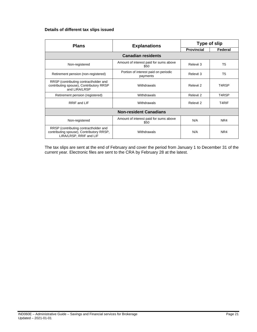# **Details of different tax slips issued**

| <b>Plans</b>                                                                                                 | <b>Explanations</b>                              | Type of slip      |                |  |
|--------------------------------------------------------------------------------------------------------------|--------------------------------------------------|-------------------|----------------|--|
|                                                                                                              |                                                  | <b>Provincial</b> | Federal        |  |
|                                                                                                              | <b>Canadian residents</b>                        |                   |                |  |
| Non-registered                                                                                               | Amount of interest paid for sums above<br>\$50   | Relevé 3          | T <sub>5</sub> |  |
| Retirement pension (non-registered)                                                                          | Portion of interest paid on periodic<br>payments | Relevé 3          | T <sub>5</sub> |  |
| RRSP (contributing contractholder and<br>contributing spouse), Contributory RRSP<br>and LIRA/LRSP            | Withdrawals                                      | Relevé 2          | T4RSP          |  |
| Retirement pension (registered)                                                                              | Withdrawals                                      | Relevé 2          | T4RSP          |  |
| RRIF and LIF                                                                                                 | Withdrawals                                      | Relevé 2          | T4RIF          |  |
| <b>Non-resident Canadians</b>                                                                                |                                                  |                   |                |  |
| Non-registered                                                                                               | Amount of interest paid for sums above<br>\$50   | N/A               | NR4            |  |
| RRSP (contributing contractholder and<br>contributing spouse), Contributory RRSP,<br>LIRA/LRSP, RRIF and LIF | Withdrawals                                      | N/A               | NR4            |  |

The tax slips are sent at the end of February and cover the period from January 1 to December 31 of the current year. Electronic files are sent to the CRA by February 28 at the latest.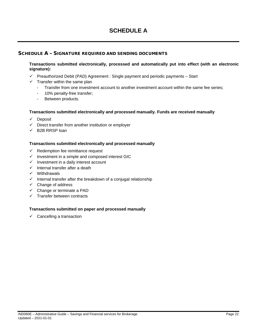# **SCHEDULE A**

# <span id="page-21-0"></span>SCHEDULE A – SIGNATURE REQUIRED AND SENDING DOCUMENTS

# **Transactions submitted electronically, processed and automatically put into effect (with an electronic signature):**

- $\checkmark$  Preauthorized Debit (PAD) Agreement : Single payment and periodic payments Start
- $\checkmark$  Transfer within the same plan
	- Transfer from one investment account to another investment account within the same fee series;
	- 10% penalty-free transfer;
	- Between products.

# **Transactions submitted electronically and processed manually. Funds are received manually**

- $\checkmark$  Deposit
- $\checkmark$  Direct transfer from another institution or employer
- $\checkmark$  B2B RRSP loan

# **Transactions submitted electronically and processed manually**

- $\checkmark$  Redemption fee remittance request
- $\checkmark$  Investment in a simple and composed interest GIC
- $\checkmark$  Investment in a daily interest account
- $\checkmark$  Internal transfer after a death
- $\checkmark$  Withdrawals
- $\checkmark$  Internal transfer after the breakdown of a conjugal relationship
- $\checkmark$  Change of address
- $\checkmark$  Change or terminate a PAD
- $\checkmark$  Transfer between contracts

# **Transactions submitted on paper and processed manually**

 $\checkmark$  Cancelling a transaction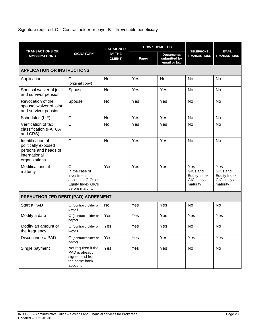# Signature required:  $C =$  Contractholder or payor  $B =$  Irrevocable beneficiary

|                                                                                                    | <b>SIGNATORY</b>                                                                                                 | <b>LAF SIGNED</b><br><b>BY THE</b><br><b>CLIENT</b> | <b>HOW SUBMITTED</b> |                                                  |                                                                    | <b>EMAIL</b>                                                       |
|----------------------------------------------------------------------------------------------------|------------------------------------------------------------------------------------------------------------------|-----------------------------------------------------|----------------------|--------------------------------------------------|--------------------------------------------------------------------|--------------------------------------------------------------------|
| <b>TRANSACTIONS OR</b><br><b>MODIFICATIONS</b>                                                     |                                                                                                                  |                                                     | Paper                | <b>Documents</b><br>submitted by<br>email or fax | <b>TELEPHONE</b><br><b>TRANSACTIONS</b>                            | <b>TRANSACTIONS</b>                                                |
| <b>APPLICATION OR INSTRUCTIONS</b>                                                                 |                                                                                                                  |                                                     |                      |                                                  |                                                                    |                                                                    |
| Application                                                                                        | С<br>(original copy)                                                                                             | <b>No</b>                                           | Yes                  | No                                               | No                                                                 | <b>No</b>                                                          |
| Spousal waiver of joint<br>and survivor pension                                                    | Spouse                                                                                                           | <b>No</b>                                           | Yes                  | Yes                                              | <b>No</b>                                                          | <b>No</b>                                                          |
| Revocation of the<br>spousal waiver of joint<br>and survivor pension                               | Spouse                                                                                                           | <b>No</b>                                           | Yes                  | Yes                                              | No                                                                 | No                                                                 |
| Schedules (LIF)                                                                                    | $\mathsf C$                                                                                                      | <b>No</b>                                           | Yes                  | Yes                                              | <b>No</b>                                                          | <b>No</b>                                                          |
| Verification of tax<br>classification (FATCA<br>and CRS)                                           | $\mathsf{C}$                                                                                                     | No                                                  | Yes                  | Yes                                              | No                                                                 | No                                                                 |
| Identification of<br>politically exposed<br>persons and heads of<br>international<br>organizations | $\mathsf{C}$                                                                                                     | <b>No</b>                                           | Yes                  | Yes                                              | No                                                                 | No                                                                 |
| Modifications at<br>maturity                                                                       | $\mathsf{C}$<br>In the case of<br>investment<br>accounts, GICs or<br><b>Equity Index GICs</b><br>before maturity | Yes                                                 | Yes                  | Yes                                              | Yes<br>GICs and<br><b>Equity Index</b><br>GICs only at<br>maturity | Yes<br>GICs and<br><b>Equity Index</b><br>GICs only at<br>maturity |
| PREAUTHORIZED DEBIT (PAD) AGREEMENT                                                                |                                                                                                                  |                                                     |                      |                                                  |                                                                    |                                                                    |
| Start a PAD                                                                                        | C (contractholder or<br>payor)                                                                                   | <b>No</b>                                           | Yes                  | Yes                                              | <b>No</b>                                                          | <b>No</b>                                                          |
| Modify a date                                                                                      | C (contractholder or<br>payor)                                                                                   | Yes                                                 | Yes                  | Yes                                              | Yes                                                                | Yes                                                                |
| Modify an amount or<br>the frequency                                                               | C (contractholder or<br>payor)                                                                                   | Yes                                                 | Yes                  | Yes                                              | No                                                                 | No                                                                 |
| Discontinue a PAD                                                                                  | C (contractholder or<br>payor)                                                                                   | Yes                                                 | Yes                  | Yes                                              | Yes                                                                | Yes                                                                |
| Single payment                                                                                     | Not required if the<br>PAD is already<br>signed and from<br>the same bank<br>account                             | Yes                                                 | Yes                  | Yes                                              | No                                                                 | <b>No</b>                                                          |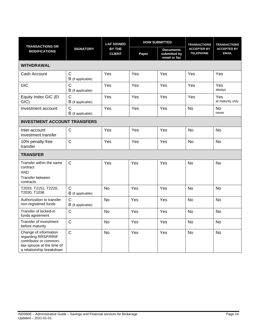| <b>TRANSACTIONS OR</b>                                                                                                          | <b>SIGNATORY</b>                  | <b>LAF SIGNED</b><br><b>BY THE</b><br><b>CLIENT</b> | <b>HOW SUBMITTED</b> |                                                  | <b>TRANSACTIONS</b>                    | <b>TRANSACTIONS</b>                |  |
|---------------------------------------------------------------------------------------------------------------------------------|-----------------------------------|-----------------------------------------------------|----------------------|--------------------------------------------------|----------------------------------------|------------------------------------|--|
| <b>MODIFICATIONS</b>                                                                                                            |                                   |                                                     | Paper                | <b>Documents</b><br>submitted by<br>email or fax | <b>ACCEPTER BY</b><br><b>TELEPHONE</b> | <b>ACCEPTED BY</b><br><b>EMAIL</b> |  |
| <b>WITHDRAWAL</b>                                                                                                               |                                   |                                                     |                      |                                                  |                                        |                                    |  |
| Cash Account                                                                                                                    | $\mathsf{C}$<br>B (if applicable) | Yes                                                 | Yes                  | Yes                                              | Yes                                    | Yes                                |  |
| <b>GIC</b>                                                                                                                      | $\mathsf{C}$<br>B (if applicable) | Yes                                                 | Yes                  | Yes                                              | Yes                                    | Yes<br>always                      |  |
| Equity Index GIC (EI<br>GIC)                                                                                                    | $\mathsf{C}$<br>B (if applicable) | Yes                                                 | Yes                  | Yes                                              | Yes                                    | Yes<br>at maturity only            |  |
| Investment account                                                                                                              | $\mathsf{C}$<br>B (if applicable) | Yes                                                 | Yes                  | Yes                                              | <b>No</b>                              | <b>No</b><br>never                 |  |
| <b>INVESTMENT ACCOUNT TRANSFERS</b>                                                                                             |                                   |                                                     |                      |                                                  |                                        |                                    |  |
| Inter-account<br>investment transfer                                                                                            | $\mathsf{C}$                      | Yes                                                 | Yes                  | Yes                                              | <b>No</b>                              | <b>No</b>                          |  |
| 10% penalty-free<br>transfer                                                                                                    | $\mathsf{C}$                      | Yes                                                 | Yes                  | Yes                                              | No                                     | No                                 |  |
| <b>TRANSFER</b>                                                                                                                 |                                   |                                                     |                      |                                                  |                                        |                                    |  |
| Transfer within the same<br>contract<br><b>AND</b><br>Transfer between<br>contracts                                             | $\mathsf{C}$                      | Yes                                                 | Yes                  | Yes                                              | <b>No</b>                              | No                                 |  |
| T2033, T2151, T2220,<br>T2030, T1036                                                                                            | $\mathsf{C}$<br>B (if applicable) | <b>No</b>                                           | Yes                  | Yes                                              | <b>No</b>                              | <b>No</b>                          |  |
| Authorization to transfer<br>non-registered funds                                                                               | $\mathsf{C}$<br>B (if applicable) | No                                                  | Yes                  | Yes                                              | No                                     | No                                 |  |
| Transfer of locked-in<br>funds agreement                                                                                        | $\mathsf{C}$                      | <b>No</b>                                           | Yes                  | Yes                                              | <b>No</b>                              | <b>No</b>                          |  |
| Transfer of investment<br>before maturity                                                                                       | $\mathsf{C}$                      | <b>No</b>                                           | Yes                  | Yes                                              | <b>No</b>                              | <b>No</b>                          |  |
| Change of information<br>regarding RRSP/RRIF<br>contributor or common-<br>law spouse at the time of<br>a relationship breakdown | $\mathsf{C}$                      | <b>No</b>                                           | Yes                  | Yes                                              | <b>No</b>                              | <b>No</b>                          |  |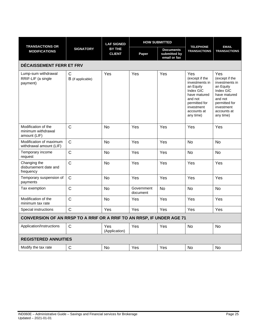|                                                                       | <b>SIGNATORY</b>       | <b>LAF SIGNED</b><br><b>BY THE</b><br><b>CLIENT</b> | <b>HOW SUBMITTED</b>   |                                                  |                                                                                                                                                         |                                                                                                                                                         |
|-----------------------------------------------------------------------|------------------------|-----------------------------------------------------|------------------------|--------------------------------------------------|---------------------------------------------------------------------------------------------------------------------------------------------------------|---------------------------------------------------------------------------------------------------------------------------------------------------------|
| <b>TRANSACTIONS OR</b><br><b>MODIFICATIONS</b>                        |                        |                                                     | Paper                  | <b>Documents</b><br>submitted by<br>email or fax | <b>TELEPHONE</b><br><b>TRANSACTIONS</b>                                                                                                                 | <b>EMAIL</b><br><b>TRANSACTIONS</b>                                                                                                                     |
| <b>DÉCAISSEMENT FERR ET FRV</b>                                       |                        |                                                     |                        |                                                  |                                                                                                                                                         |                                                                                                                                                         |
| Lump-sum withdrawal<br>RRIF-LIF (a single<br>payment)                 | С<br>B (if applicable) | Yes                                                 | Yes                    | Yes                                              | Yes<br>(except if the<br>investments in<br>an Equity<br>Index GIC<br>have matured<br>and not<br>permitted for<br>investment<br>accounts at<br>any time) | Yes<br>(except if the<br>investments in<br>an Equity<br>Index GIC<br>have matured<br>and not<br>permitted for<br>investment<br>accounts at<br>any time) |
| Modification of the<br>minimum withdrawal<br>amount (LIF)             | $\mathsf{C}$           | <b>No</b>                                           | Yes                    | Yes                                              | Yes                                                                                                                                                     | Yes                                                                                                                                                     |
| Modification of maximum<br>withdrawal amount (LIF)                    | $\mathsf{C}$           | <b>No</b>                                           | Yes                    | Yes                                              | <b>No</b>                                                                                                                                               | No                                                                                                                                                      |
| Temporary income<br>request                                           | $\mathsf{C}$           | <b>No</b>                                           | Yes                    | Yes                                              | <b>No</b>                                                                                                                                               | <b>No</b>                                                                                                                                               |
| Changing the<br>disbursement date and<br>frequency                    | $\mathsf{C}$           | <b>No</b>                                           | Yes                    | Yes                                              | Yes                                                                                                                                                     | Yes                                                                                                                                                     |
| Temporary suspension of<br>payments                                   | $\mathsf{C}$           | <b>No</b>                                           | Yes                    | Yes                                              | Yes                                                                                                                                                     | Yes                                                                                                                                                     |
| Tax exemption                                                         | $\mathsf C$            | No                                                  | Government<br>document | No                                               | No                                                                                                                                                      | No                                                                                                                                                      |
| Modification of the<br>minimum tax rate                               | $\mathsf{C}$           | <b>No</b>                                           | Yes                    | Yes                                              | Yes                                                                                                                                                     | Yes                                                                                                                                                     |
| Special instructions                                                  | $\mathsf{C}$           | Yes                                                 | Yes                    | Yes                                              | Yes                                                                                                                                                     | Yes                                                                                                                                                     |
| CONVERSION OF AN RRSP TO A RRIF OR A RRIF TO AN RRSP, IF UNDER AGE 71 |                        |                                                     |                        |                                                  |                                                                                                                                                         |                                                                                                                                                         |
| Application/Instructions                                              | $\mathsf{C}$           | Yes<br>(Application)                                | Yes                    | Yes                                              | <b>No</b>                                                                                                                                               | No                                                                                                                                                      |
| <b>REGISTERED ANNUITIES</b>                                           |                        |                                                     |                        |                                                  |                                                                                                                                                         |                                                                                                                                                         |
| Modify the tax rate                                                   | $\mathsf{C}$           | <b>No</b>                                           | Yes                    | Yes                                              | <b>No</b>                                                                                                                                               | <b>No</b>                                                                                                                                               |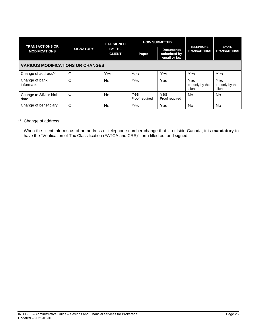| <b>TRANSACTIONS OR</b>                  | <b>SIGNATORY</b> | <b>LAF SIGNED</b><br>BY THE<br><b>CLIENT</b> | <b>HOW SUBMITTED</b>  |                                                  | <b>TELEPHONE</b>                 | <b>EMAIL</b>                     |
|-----------------------------------------|------------------|----------------------------------------------|-----------------------|--------------------------------------------------|----------------------------------|----------------------------------|
| <b>MODIFICATIONS</b>                    |                  |                                              | Paper                 | <b>Documents</b><br>submitted by<br>email or fax | <b>TRANSACTIONS</b>              | <b>TRANSACTIONS</b>              |
| <b>VARIOUS MODIFICATIONS OR CHANGES</b> |                  |                                              |                       |                                                  |                                  |                                  |
| Change of address**                     | C                | Yes                                          | Yes                   | Yes                                              | Yes                              | Yes                              |
| Change of bank<br>information           | C                | <b>No</b>                                    | Yes                   | Yes                                              | Yes<br>but only by the<br>client | Yes<br>but only by the<br>client |
| Change to SIN or birth<br>date          | $\mathsf{C}$     | No                                           | Yes<br>Proof required | Yes<br>Proof required                            | No                               | No                               |
| Change of beneficiary                   | С                | No                                           | Yes                   | Yes                                              | No                               | No                               |

\*\* Change of address:

When the client informs us of an address or telephone number change that is outside Canada, it is **mandatory** to have the "Verification of Tax Classification (FATCA and CRS)" form filled out and signed.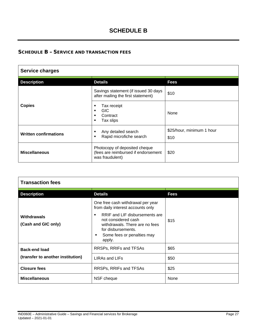# **SCHEDULE B**

# <span id="page-26-0"></span>SCHEDULE B – SERVICE AND TRANSACTION FEES

| <b>Service charges</b>               |                                                                                         |                                   |  |  |  |
|--------------------------------------|-----------------------------------------------------------------------------------------|-----------------------------------|--|--|--|
| <b>Description</b><br><b>Details</b> |                                                                                         | Fees                              |  |  |  |
|                                      | Savings statement (if issued 30 days<br>after mailing the first statement)              | \$10                              |  |  |  |
| <b>Copies</b>                        | Tax receipt<br>٠<br>GIC.<br>٠<br>Contract<br>٠<br>Tax slips<br>٠                        | None                              |  |  |  |
| <b>Written confirmations</b>         | Any detailed search<br>٠<br>Rapid microfiche search<br>٠                                | \$25/hour, minimum 1 hour<br>\$10 |  |  |  |
| <b>Miscellaneous</b>                 | Photocopy of deposited cheque<br>(fees are reimbursed if endorsement<br>was fraudulent) | \$20                              |  |  |  |

| <b>Transaction fees</b>                   |                                                                                                                                                                                                                                      |             |  |  |  |
|-------------------------------------------|--------------------------------------------------------------------------------------------------------------------------------------------------------------------------------------------------------------------------------------|-------------|--|--|--|
| <b>Description</b>                        | <b>Details</b>                                                                                                                                                                                                                       | <b>Fees</b> |  |  |  |
| <b>Withdrawals</b><br>(Cash and GIC only) | One free cash withdrawal per year<br>from daily interest accounts only<br>RRIF and LIF disbursements are<br>not considered cash<br>withdrawals. There are no fees<br>for disbursements.<br>Some fees or penalties may<br>٠<br>apply. | \$15        |  |  |  |
| <b>Back-end load</b>                      | RRSPs, RRIFs and TFSAs                                                                                                                                                                                                               | \$65        |  |  |  |
| (transfer to another institution)         | LIRAs and LIFs                                                                                                                                                                                                                       | \$50        |  |  |  |
| <b>Closure fees</b>                       | RRSPs, RRIFs and TFSAs                                                                                                                                                                                                               | \$25        |  |  |  |
| <b>Miscellaneous</b>                      | NSF cheque                                                                                                                                                                                                                           | None        |  |  |  |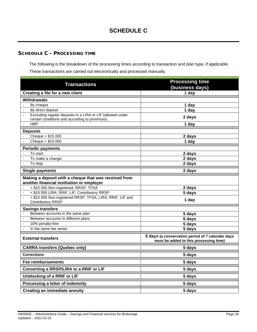# <span id="page-27-0"></span>SCHEDULE C – PROCESSING TIME

The following is the breakdown of the processing times according to transaction and plan type, if applicable. These transactions are carried out electronically and processed manually.

| <b>Transactions</b>                                                                              | <b>Processing time</b>                                                                     |  |  |
|--------------------------------------------------------------------------------------------------|--------------------------------------------------------------------------------------------|--|--|
| Creating a file for a new client                                                                 | (business days)<br>1 day                                                                   |  |  |
|                                                                                                  |                                                                                            |  |  |
| <b>Withdrawals</b>                                                                               |                                                                                            |  |  |
| By cheque<br>$\blacksquare$<br>By direct deposit<br>$\overline{\phantom{a}}$                     | 1 day<br>1 day                                                                             |  |  |
| Excluding regular deposits in a LIRA or LIF (allowed under                                       |                                                                                            |  |  |
| certain conditions and according to provinces)                                                   | 2 days                                                                                     |  |  |
| <b>HBP</b><br>$\blacksquare$                                                                     | 1 day                                                                                      |  |  |
| <b>Deposits</b>                                                                                  |                                                                                            |  |  |
| Cheque < \$15 000                                                                                | 2 days                                                                                     |  |  |
| Cheque > \$15 000                                                                                | 1 day                                                                                      |  |  |
| <b>Periodic payments</b>                                                                         |                                                                                            |  |  |
| To start                                                                                         | 2 days                                                                                     |  |  |
| To make a change                                                                                 | 2 days                                                                                     |  |  |
| To stop                                                                                          | 2 days                                                                                     |  |  |
| <b>Single payments</b>                                                                           | 2 days                                                                                     |  |  |
| Making a deposit with a cheque that was received from                                            |                                                                                            |  |  |
| another financial institution or employer                                                        |                                                                                            |  |  |
| < \$15 000 Non-registered, RRSP, TFSA                                                            | 2 days                                                                                     |  |  |
| < \$15 000 LIRA, RRIF, LIF, Contributory RRSP                                                    | 5 days                                                                                     |  |  |
| > \$15 000 Non-registered RRSP, TFSA, LIRA, RRIF, LIF and<br>$\blacksquare$<br>Contributory RRSP | 1 day                                                                                      |  |  |
| <b>Savings transfers</b>                                                                         |                                                                                            |  |  |
| Between accounts in the same plan                                                                | 5 days                                                                                     |  |  |
| Between accounts in different plans<br>$\blacksquare$                                            | 5 days                                                                                     |  |  |
| L,<br>10% penalty-free                                                                           | 5 days                                                                                     |  |  |
| In the same fee series                                                                           | 5 days                                                                                     |  |  |
| <b>External transfers</b>                                                                        | 5 days (a conservation period of 7 calendar days<br>must be added to this processing time) |  |  |
| <b>CARRA transfers (Quebec only)</b>                                                             | 5 days                                                                                     |  |  |
| <b>Corrections</b>                                                                               | 5 days                                                                                     |  |  |
| <b>Fee reimbursements</b>                                                                        | 5 days                                                                                     |  |  |
| Converting a RRSP/LIRA to a RRIF or LIF                                                          | 5 days                                                                                     |  |  |
| Unblocking of a RRIF or LIF                                                                      | 5 days                                                                                     |  |  |
| Processing a letter of indemnity                                                                 | 5 days                                                                                     |  |  |
| <b>Creating an immediate annuity</b>                                                             | 5 days                                                                                     |  |  |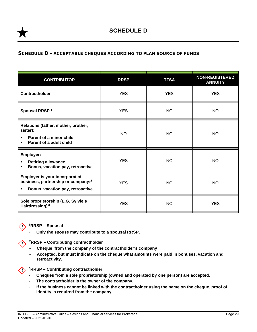# <span id="page-28-0"></span>SCHEDULE D – ACCEPTABLE CHEQUES ACCORDING TO PLAN SOURCE OF FUNDS

| <b>CONTRIBUTOR</b>                                                                                                              | <b>RRSP</b> | <b>TFSA</b> | <b>NON-REGISTERED</b><br><b>ANNUITY</b> |
|---------------------------------------------------------------------------------------------------------------------------------|-------------|-------------|-----------------------------------------|
| Contractholder                                                                                                                  | <b>YES</b>  | <b>YES</b>  | <b>YES</b>                              |
| Spousal RRSP <sup>1</sup>                                                                                                       | <b>YES</b>  | <b>NO</b>   | <b>NO</b>                               |
| Relations (father, mother, brother,<br>sister):<br>Parent of a minor child<br>$\blacksquare$<br>Parent of a adult child<br>٠    | <b>NO</b>   | <b>NO</b>   | <b>NO</b>                               |
| Employer:<br><b>Retiring allowance</b><br>٠<br>Bonus, vacation pay, retroactive<br>٠                                            | <b>YES</b>  | <b>NO</b>   | <b>NO</b>                               |
| <b>Employer is your incorporated</b><br>business, partnership or company: <sup>2</sup><br>Bonus, vacation pay, retroactive<br>٠ | <b>YES</b>  | <b>NO</b>   | <b>NO</b>                               |
| Sole proprietorship (E.G. Sylvie's<br>Hairdressing) <sup>3</sup>                                                                | <b>YES</b>  | <b>NO</b>   | <b>YES</b>                              |



**1RRSP – Spousal**

- **Only the spouse may contribute to a spousal RRSP.**

**2RRSP – Contributing contractholder**

- **Cheque from the company of the contractholder's company**
- **Accepted, but must indicate on the cheque what amounts were paid in bonuses, vacation and retroactivity.**



- **Cheques from a sole proprietorship (owned and operated by one person) are accepted.**
- The contractholder is the owner of the company.
- **If the business cannot be linked with the contractholder using the name on the cheque, proof of identity is required from the company.**